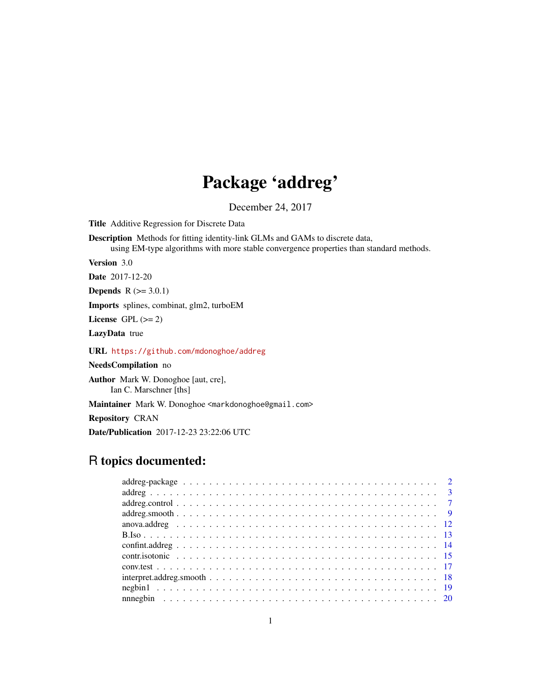# Package 'addreg'

December 24, 2017

<span id="page-0-0"></span>Title Additive Regression for Discrete Data

Description Methods for fitting identity-link GLMs and GAMs to discrete data,

using EM-type algorithms with more stable convergence properties than standard methods.

Version 3.0

Date 2017-12-20

**Depends**  $R (= 3.0.1)$ 

Imports splines, combinat, glm2, turboEM

License GPL  $(>= 2)$ 

LazyData true

URL <https://github.com/mdonoghoe/addreg>

NeedsCompilation no

Author Mark W. Donoghoe [aut, cre], Ian C. Marschner [ths]

Maintainer Mark W. Donoghoe <markdonoghoe@gmail.com>

Repository CRAN

Date/Publication 2017-12-23 23:22:06 UTC

# R topics documented: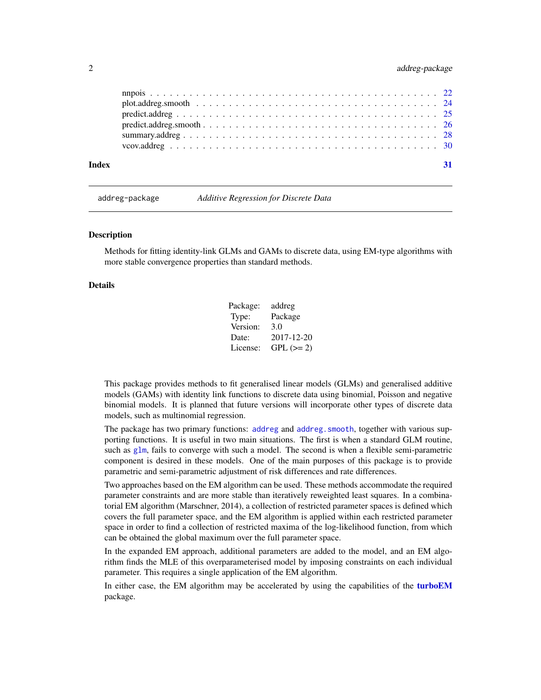<span id="page-1-0"></span>

| Index |  |
|-------|--|
|       |  |
|       |  |
|       |  |
|       |  |
|       |  |
|       |  |

<span id="page-1-1"></span>addreg-package *Additive Regression for Discrete Data*

# **Description**

Methods for fitting identity-link GLMs and GAMs to discrete data, using EM-type algorithms with more stable convergence properties than standard methods.

#### Details

| Package: | addreg      |
|----------|-------------|
| Type:    | Package     |
| Version: | 3.0         |
| Date:    | 2017-12-20  |
| License: | $GPL (= 2)$ |

This package provides methods to fit generalised linear models (GLMs) and generalised additive models (GAMs) with identity link functions to discrete data using binomial, Poisson and negative binomial models. It is planned that future versions will incorporate other types of discrete data models, such as multinomial regression.

The package has two primary functions: [addreg](#page-2-1) and addreg. smooth, together with various supporting functions. It is useful in two main situations. The first is when a standard GLM routine, such as  $g/m$ , fails to converge with such a model. The second is when a flexible semi-parametric component is desired in these models. One of the main purposes of this package is to provide parametric and semi-parametric adjustment of risk differences and rate differences.

Two approaches based on the EM algorithm can be used. These methods accommodate the required parameter constraints and are more stable than iteratively reweighted least squares. In a combinatorial EM algorithm (Marschner, 2014), a collection of restricted parameter spaces is defined which covers the full parameter space, and the EM algorithm is applied within each restricted parameter space in order to find a collection of restricted maxima of the log-likelihood function, from which can be obtained the global maximum over the full parameter space.

In the expanded EM approach, additional parameters are added to the model, and an EM algorithm finds the MLE of this overparameterised model by imposing constraints on each individual parameter. This requires a single application of the EM algorithm.

In either case, the EM algorithm may be accelerated by using the capabilities of the [turboEM](#page-0-0) package.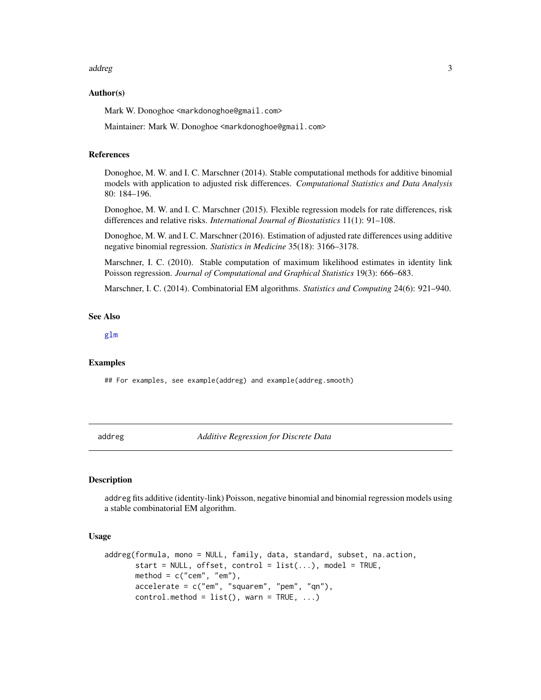#### <span id="page-2-0"></span>addreg 3

#### Author(s)

Mark W. Donoghoe <markdonoghoe@gmail.com>

Maintainer: Mark W. Donoghoe <markdonoghoe@gmail.com>

# References

Donoghoe, M. W. and I. C. Marschner (2014). Stable computational methods for additive binomial models with application to adjusted risk differences. *Computational Statistics and Data Analysis* 80: 184–196.

Donoghoe, M. W. and I. C. Marschner (2015). Flexible regression models for rate differences, risk differences and relative risks. *International Journal of Biostatistics* 11(1): 91–108.

Donoghoe, M. W. and I. C. Marschner (2016). Estimation of adjusted rate differences using additive negative binomial regression. *Statistics in Medicine* 35(18): 3166–3178.

Marschner, I. C. (2010). Stable computation of maximum likelihood estimates in identity link Poisson regression. *Journal of Computational and Graphical Statistics* 19(3): 666–683.

Marschner, I. C. (2014). Combinatorial EM algorithms. *Statistics and Computing* 24(6): 921–940.

#### See Also

[glm](#page-0-0)

#### Examples

## For examples, see example(addreg) and example(addreg.smooth)

<span id="page-2-1"></span>addreg *Additive Regression for Discrete Data*

#### Description

addreg fits additive (identity-link) Poisson, negative binomial and binomial regression models using a stable combinatorial EM algorithm.

#### Usage

```
addreg(formula, mono = NULL, family, data, standard, subset, na.action,
      start = NULL, offset, control = list(...), model = TRUE,
      method = c("cem", "em"),accelerate = c("em", "squarem", "pem", "qn"),
       control.method = list(), warn = TRUE, ...)
```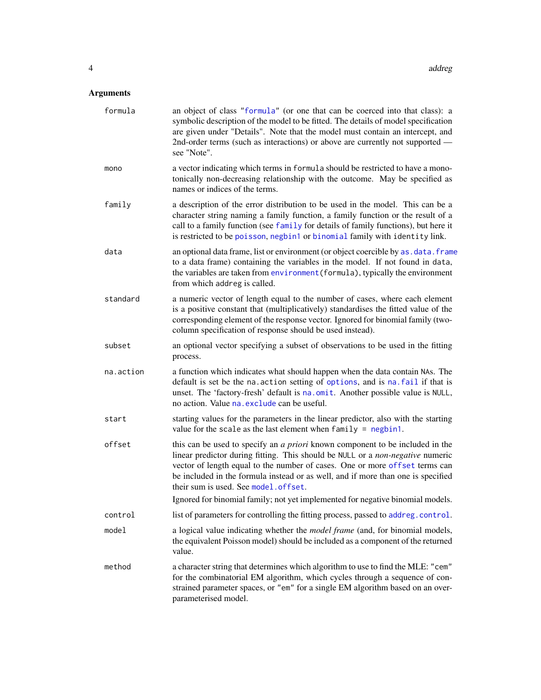# <span id="page-3-0"></span>Arguments

| formula   | an object of class "formula" (or one that can be coerced into that class): a<br>symbolic description of the model to be fitted. The details of model specification<br>are given under "Details". Note that the model must contain an intercept, and<br>2nd-order terms (such as interactions) or above are currently not supported -<br>see "Note".                               |
|-----------|-----------------------------------------------------------------------------------------------------------------------------------------------------------------------------------------------------------------------------------------------------------------------------------------------------------------------------------------------------------------------------------|
| mono      | a vector indicating which terms in formula should be restricted to have a mono-<br>tonically non-decreasing relationship with the outcome. May be specified as<br>names or indices of the terms.                                                                                                                                                                                  |
| family    | a description of the error distribution to be used in the model. This can be a<br>character string naming a family function, a family function or the result of a<br>call to a family function (see family for details of family functions), but here it<br>is restricted to be poisson, negbin1 or binomial family with identity link.                                           |
| data      | an optional data frame, list or environment (or object coercible by as . data. frame<br>to a data frame) containing the variables in the model. If not found in data,<br>the variables are taken from environment (formula), typically the environment<br>from which addreg is called.                                                                                            |
| standard  | a numeric vector of length equal to the number of cases, where each element<br>is a positive constant that (multiplicatively) standardises the fitted value of the<br>corresponding element of the response vector. Ignored for binomial family (two-<br>column specification of response should be used instead).                                                                |
| subset    | an optional vector specifying a subset of observations to be used in the fitting<br>process.                                                                                                                                                                                                                                                                                      |
| na.action | a function which indicates what should happen when the data contain NAs. The<br>default is set be the na. action setting of options, and is na. fail if that is<br>unset. The 'factory-fresh' default is na.omit. Another possible value is NULL,<br>no action. Value na. exclude can be useful.                                                                                  |
| start     | starting values for the parameters in the linear predictor, also with the starting<br>value for the scale as the last element when $family = negbin1$ .                                                                                                                                                                                                                           |
| offset    | this can be used to specify an <i>a priori</i> known component to be included in the<br>linear predictor during fitting. This should be NULL or a non-negative numeric<br>vector of length equal to the number of cases. One or more offset terms can<br>be included in the formula instead or as well, and if more than one is specified<br>their sum is used. See model.offset. |
|           | Ignored for binomial family; not yet implemented for negative binomial models.                                                                                                                                                                                                                                                                                                    |
| control   | list of parameters for controlling the fitting process, passed to addreg.control.                                                                                                                                                                                                                                                                                                 |
| model     | a logical value indicating whether the <i>model frame</i> (and, for binomial models,<br>the equivalent Poisson model) should be included as a component of the returned<br>value.                                                                                                                                                                                                 |
| method    | a character string that determines which algorithm to use to find the MLE: "cem"<br>for the combinatorial EM algorithm, which cycles through a sequence of con-<br>strained parameter spaces, or "em" for a single EM algorithm based on an over-<br>parameterised model.                                                                                                         |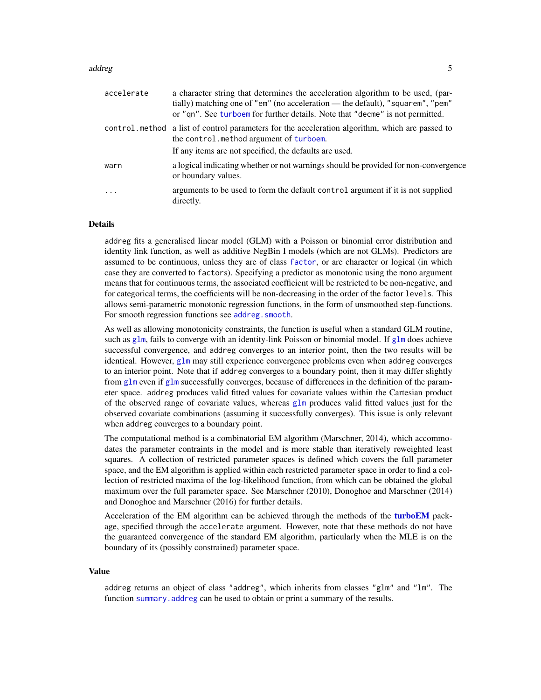#### <span id="page-4-0"></span>addreg **5**

| accelerate | a character string that determines the acceleration algorithm to be used, (par-<br>tially) matching one of "em" (no acceleration — the default), "squarem", "pem"<br>or "qn". See turboem for further details. Note that "decme" is not permitted. |
|------------|----------------------------------------------------------------------------------------------------------------------------------------------------------------------------------------------------------------------------------------------------|
|            | control method a list of control parameters for the acceleration algorithm, which are passed to<br>the control. method argument of turboem.                                                                                                        |
|            | If any items are not specified, the defaults are used.                                                                                                                                                                                             |
| warn       | a logical indicating whether or not warnings should be provided for non-convergence<br>or boundary values.                                                                                                                                         |
| $\ddots$   | arguments to be used to form the default control argument if it is not supplied<br>directly.                                                                                                                                                       |

#### Details

addreg fits a generalised linear model (GLM) with a Poisson or binomial error distribution and identity link function, as well as additive NegBin I models (which are not GLMs). Predictors are assumed to be continuous, unless they are of class [factor](#page-0-0), or are character or logical (in which case they are converted to factors). Specifying a predictor as monotonic using the mono argument means that for continuous terms, the associated coefficient will be restricted to be non-negative, and for categorical terms, the coefficients will be non-decreasing in the order of the factor levels. This allows semi-parametric monotonic regression functions, in the form of unsmoothed step-functions. For smooth regression functions see addreg. smooth.

As well as allowing monotonicity constraints, the function is useful when a standard GLM routine, such as [glm](#page-0-0), fails to converge with an identity-link Poisson or binomial model. If glm does achieve successful convergence, and addreg converges to an interior point, then the two results will be identical. However, [glm](#page-0-0) may still experience convergence problems even when addreg converges to an interior point. Note that if addreg converges to a boundary point, then it may differ slightly from [glm](#page-0-0) even if glm successfully converges, because of differences in the definition of the parameter space. addreg produces valid fitted values for covariate values within the Cartesian product of the observed range of covariate values, whereas [glm](#page-0-0) produces valid fitted values just for the observed covariate combinations (assuming it successfully converges). This issue is only relevant when addreg converges to a boundary point.

The computational method is a combinatorial EM algorithm (Marschner, 2014), which accommodates the parameter contraints in the model and is more stable than iteratively reweighted least squares. A collection of restricted parameter spaces is defined which covers the full parameter space, and the EM algorithm is applied within each restricted parameter space in order to find a collection of restricted maxima of the log-likelihood function, from which can be obtained the global maximum over the full parameter space. See Marschner (2010), Donoghoe and Marschner (2014) and Donoghoe and Marschner (2016) for further details.

Acceleration of the EM algorithm can be achieved through the methods of the [turboEM](#page-0-0) package, specified through the accelerate argument. However, note that these methods do not have the guaranteed convergence of the standard EM algorithm, particularly when the MLE is on the boundary of its (possibly constrained) parameter space.

#### Value

addreg returns an object of class "addreg", which inherits from classes "glm" and "lm". The function summary. addreg can be used to obtain or print a summary of the results.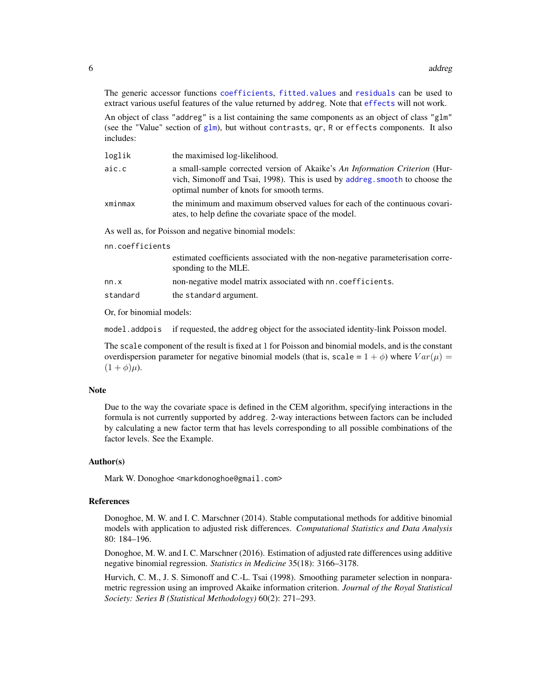<span id="page-5-0"></span>The generic accessor functions [coefficients](#page-0-0), [fitted.values](#page-0-0) and [residuals](#page-0-0) can be used to extract various useful features of the value returned by addreg. Note that [effects](#page-0-0) will not work.

An object of class "addreg" is a list containing the same components as an object of class "glm" (see the "Value" section of  $g/m$ ), but without contrasts,  $qr$ , R or effects components. It also includes:

| loglik  | the maximised log-likelihood.                                                                                                                                                                            |
|---------|----------------------------------------------------------------------------------------------------------------------------------------------------------------------------------------------------------|
| aic.c   | a small-sample corrected version of Akaike's An Information Criterion (Hur-<br>vich, Simonoff and Tsai, 1998). This is used by addreg. smooth to choose the<br>optimal number of knots for smooth terms. |
| xminmax | the minimum and maximum observed values for each of the continuous covari-<br>ates, to help define the covariate space of the model.                                                                     |
|         | Ag well as for Deisson and negative hinemial models.                                                                                                                                                     |

As well as, for Poisson and negative binomial models:

nn.coefficients

|          | estimated coefficients associated with the non-negative parameterisation corre-<br>sponding to the MLE. |
|----------|---------------------------------------------------------------------------------------------------------|
| nn.x     | non-negative model matrix associated with nn. coefficients.                                             |
| standard | the standard argument.                                                                                  |

Or, for binomial models:

model.addpois if requested, the addreg object for the associated identity-link Poisson model.

The scale component of the result is fixed at 1 for Poisson and binomial models, and is the constant overdispersion parameter for negative binomial models (that is, scale =  $1 + \phi$ ) where  $Var(\mu)$  =  $(1 + \phi)\mu$ ).

#### **Note**

Due to the way the covariate space is defined in the CEM algorithm, specifying interactions in the formula is not currently supported by addreg. 2-way interactions between factors can be included by calculating a new factor term that has levels corresponding to all possible combinations of the factor levels. See the Example.

#### Author(s)

Mark W. Donoghoe <markdonoghoe@gmail.com>

#### References

Donoghoe, M. W. and I. C. Marschner (2014). Stable computational methods for additive binomial models with application to adjusted risk differences. *Computational Statistics and Data Analysis* 80: 184–196.

Donoghoe, M. W. and I. C. Marschner (2016). Estimation of adjusted rate differences using additive negative binomial regression. *Statistics in Medicine* 35(18): 3166–3178.

Hurvich, C. M., J. S. Simonoff and C.-L. Tsai (1998). Smoothing parameter selection in nonparametric regression using an improved Akaike information criterion. *Journal of the Royal Statistical Society: Series B (Statistical Methodology)* 60(2): 271–293.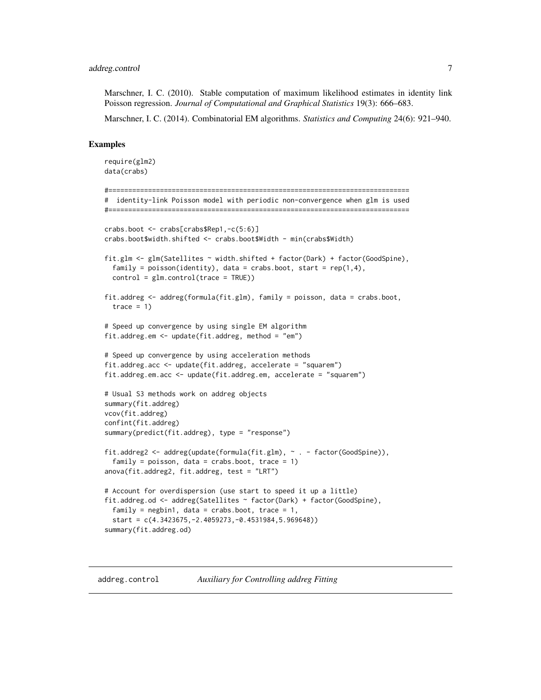<span id="page-6-0"></span>Marschner, I. C. (2010). Stable computation of maximum likelihood estimates in identity link Poisson regression. *Journal of Computational and Graphical Statistics* 19(3): 666–683.

Marschner, I. C. (2014). Combinatorial EM algorithms. *Statistics and Computing* 24(6): 921–940.

#### Examples

```
require(glm2)
data(crabs)
#============================================================================
# identity-link Poisson model with periodic non-convergence when glm is used
#============================================================================
crabs.boot <- crabs[crabs$Rep1,-c(5:6)]
crabs.boot$width.shifted <- crabs.boot$Width - min(crabs$Width)
fit.glm <- glm(Satellites ~ width.shifted + factor(Dark) + factor(GoodSpine),
 family = poisson(identity), data = crabs.boot, start = rep(1,4),
 control = glm.contrib(trace = TRUE)fit.addreg <- addreg(formula(fit.glm), family = poisson, data = crabs.boot,
 trace = 1)
# Speed up convergence by using single EM algorithm
fit.addreg.em <- update(fit.addreg, method = "em")
# Speed up convergence by using acceleration methods
fit.addreg.acc <- update(fit.addreg, accelerate = "squarem")
fit.addreg.em.acc <- update(fit.addreg.em, accelerate = "squarem")
# Usual S3 methods work on addreg objects
summary(fit.addreg)
vcov(fit.addreg)
confint(fit.addreg)
summary(predict(fit.addreg), type = "response")
fit.addreg2 <- addreg(update(formula(fit.glm), ~ . - factor(GoodSpine)),
  family = poisson, data = crabs.boot, trace = 1)
anova(fit.addreg2, fit.addreg, test = "LRT")
# Account for overdispersion (use start to speed it up a little)
fit.addreg.od <- addreg(Satellites ~ factor(Dark) + factor(GoodSpine),
  family = negbin1, data = crabs.boot, trace = 1,
 start = c(4.3423675,-2.4059273,-0.4531984,5.969648))
summary(fit.addreg.od)
```
<span id="page-6-1"></span>addreg.control *Auxiliary for Controlling addreg Fitting*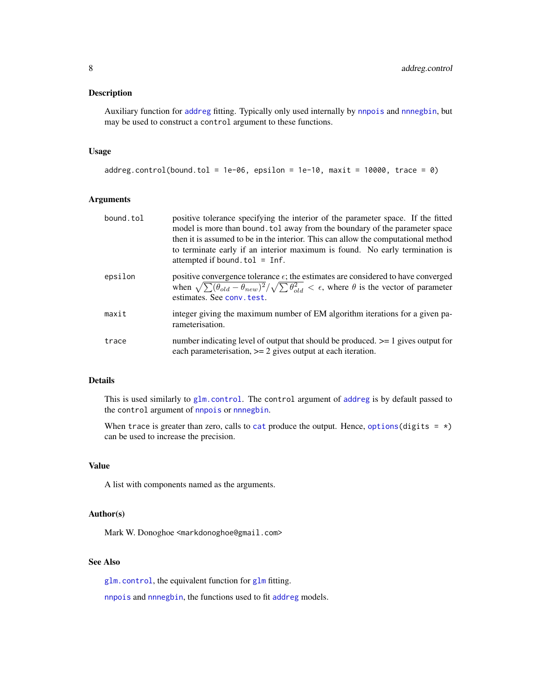## <span id="page-7-0"></span>Description

Auxiliary function for [addreg](#page-2-1) fitting. Typically only used internally by [nnpois](#page-21-1) and [nnnegbin](#page-19-1), but may be used to construct a control argument to these functions.

#### Usage

```
addreg.control(bound.tol = 1e-06, epsilon = 1e-10, maxit = 10000, trace = 0)
```
# Arguments

| bound.tol | positive tolerance specifying the interior of the parameter space. If the fitted<br>model is more than bound, tol away from the boundary of the parameter space<br>then it is assumed to be in the interior. This can allow the computational method<br>to terminate early if an interior maximum is found. No early termination is<br>attempted if bound. $tol = Inf.$ |
|-----------|-------------------------------------------------------------------------------------------------------------------------------------------------------------------------------------------------------------------------------------------------------------------------------------------------------------------------------------------------------------------------|
| epsilon   | positive convergence tolerance $\epsilon$ ; the estimates are considered to have converged<br>when $\sqrt{\sum (\theta_{old} - \theta_{new})^2}/\sqrt{\sum \theta_{old}^2} < \epsilon$ , where $\theta$ is the vector of parameter<br>estimates. See conv. test.                                                                                                        |
| maxit     | integer giving the maximum number of EM algorithm iterations for a given pa-<br>rameterisation.                                                                                                                                                                                                                                                                         |
| trace     | number indicating level of output that should be produced. $\geq$ 1 gives output for<br>each parameterisation, $\geq$ 2 gives output at each iteration.                                                                                                                                                                                                                 |

### Details

This is used similarly to [glm.control](#page-0-0). The control argument of [addreg](#page-2-1) is by default passed to the control argument of [nnpois](#page-21-1) or [nnnegbin](#page-19-1).

When trace is greater than zero, calls to [cat](#page-0-0) produce the output. Hence, [options\(](#page-0-0)digits =  $\star$ ) can be used to increase the precision.

# Value

A list with components named as the arguments.

#### Author(s)

Mark W. Donoghoe <markdonoghoe@gmail.com>

# See Also

[glm.control](#page-0-0), the equivalent function for [glm](#page-0-0) fitting.

[nnpois](#page-21-1) and [nnnegbin](#page-19-1), the functions used to fit [addreg](#page-2-1) models.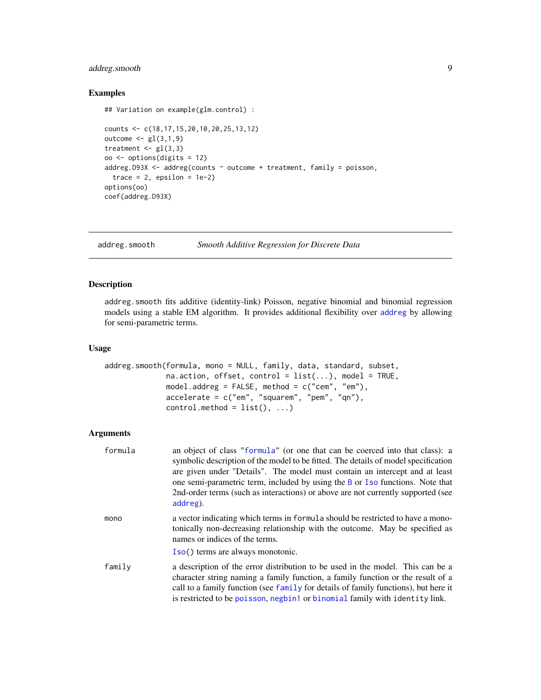# <span id="page-8-0"></span>addreg.smooth 9

#### Examples

## Variation on example(glm.control) :

```
counts <- c(18,17,15,20,10,20,25,13,12)
outcome <- gl(3,1,9)
treatment \leq gl(3,3)
oo <- options(digits = 12)
addreg.D93X <- addreg(counts \sim outcome + treatment, family = poisson,
  trace = 2, epsilon = 1e-2)
options(oo)
coef(addreg.D93X)
```
<span id="page-8-1"></span>addreg.smooth *Smooth Additive Regression for Discrete Data*

#### Description

addreg.smooth fits additive (identity-link) Poisson, negative binomial and binomial regression models using a stable EM algorithm. It provides additional flexibility over [addreg](#page-2-1) by allowing for semi-parametric terms.

#### Usage

```
addreg.smooth(formula, mono = NULL, family, data, standard, subset,
             na.action, offset, control = list(...), model = TRUE,
             model.addreg = FALSE, method = c("cem", "em"),
             accelerate = c("em", "square", "pem", "qm"),control.method = list(), ...)
```
#### Arguments

| formula | an object of class "formula" (or one that can be coerced into that class): a<br>symbolic description of the model to be fitted. The details of model specification<br>are given under "Details". The model must contain an intercept and at least<br>one semi-parametric term, included by using the B or I so functions. Note that<br>2nd-order terms (such as interactions) or above are not currently supported (see<br>addreg). |
|---------|-------------------------------------------------------------------------------------------------------------------------------------------------------------------------------------------------------------------------------------------------------------------------------------------------------------------------------------------------------------------------------------------------------------------------------------|
| mono    | a vector indicating which terms in formula should be restricted to have a mono-<br>tonically non-decreasing relationship with the outcome. May be specified as<br>names or indices of the terms.                                                                                                                                                                                                                                    |
|         | Iso() terms are always monotonic.                                                                                                                                                                                                                                                                                                                                                                                                   |
| family  | a description of the error distribution to be used in the model. This can be a<br>character string naming a family function, a family function or the result of a<br>call to a family function (see family for details of family functions), but here it<br>is restricted to be poisson, negbin1 or binomial family with identity link.                                                                                             |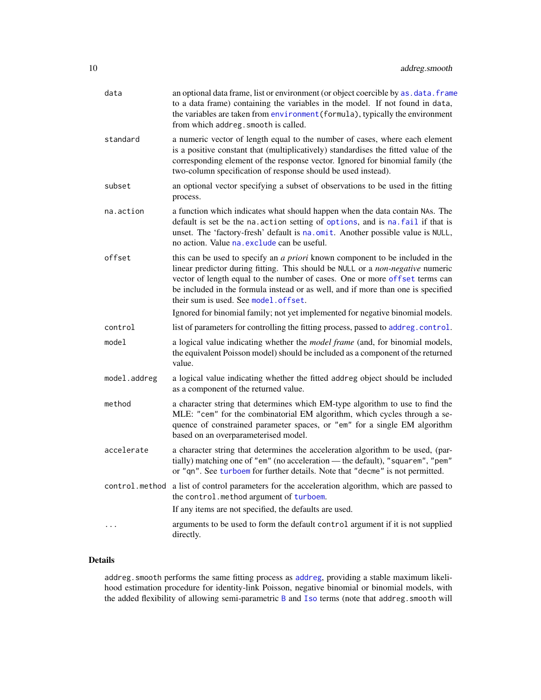<span id="page-9-0"></span>

| data         | an optional data frame, list or environment (or object coercible by as . data. frame<br>to a data frame) containing the variables in the model. If not found in data,<br>the variables are taken from environment (formula), typically the environment<br>from which addreg. smooth is called.                                                                              |
|--------------|-----------------------------------------------------------------------------------------------------------------------------------------------------------------------------------------------------------------------------------------------------------------------------------------------------------------------------------------------------------------------------|
| standard     | a numeric vector of length equal to the number of cases, where each element<br>is a positive constant that (multiplicatively) standardises the fitted value of the<br>corresponding element of the response vector. Ignored for binomial family (the<br>two-column specification of response should be used instead).                                                       |
| subset       | an optional vector specifying a subset of observations to be used in the fitting<br>process.                                                                                                                                                                                                                                                                                |
| na.action    | a function which indicates what should happen when the data contain NAs. The<br>default is set be the na. action setting of options, and is na. fail if that is<br>unset. The 'factory-fresh' default is na.omit. Another possible value is NULL,<br>no action. Value na exclude can be useful.                                                                             |
| offset       | this can be used to specify an a priori known component to be included in the<br>linear predictor during fitting. This should be NULL or a non-negative numeric<br>vector of length equal to the number of cases. One or more offset terms can<br>be included in the formula instead or as well, and if more than one is specified<br>their sum is used. See model. offset. |
|              | Ignored for binomial family; not yet implemented for negative binomial models.                                                                                                                                                                                                                                                                                              |
| control      | list of parameters for controlling the fitting process, passed to addreg.control.                                                                                                                                                                                                                                                                                           |
| model        | a logical value indicating whether the model frame (and, for binomial models,<br>the equivalent Poisson model) should be included as a component of the returned<br>value.                                                                                                                                                                                                  |
| model.addreg | a logical value indicating whether the fitted addreg object should be included<br>as a component of the returned value.                                                                                                                                                                                                                                                     |
| method       | a character string that determines which EM-type algorithm to use to find the<br>MLE: "cem" for the combinatorial EM algorithm, which cycles through a se-<br>quence of constrained parameter spaces, or "em" for a single EM algorithm<br>based on an overparameterised model.                                                                                             |
| accelerate   | a character string that determines the acceleration algorithm to be used, (par-<br>tially) matching one of "em" (no acceleration - the default), "squarem", "pem"<br>or "qn". See turboem for further details. Note that "decme" is not permitted.                                                                                                                          |
|              | control.method a list of control parameters for the acceleration algorithm, which are passed to<br>the control.method argument of turboem.                                                                                                                                                                                                                                  |
|              | If any items are not specified, the defaults are used.                                                                                                                                                                                                                                                                                                                      |
| $\cdots$     | arguments to be used to form the default control argument if it is not supplied<br>directly.                                                                                                                                                                                                                                                                                |

# Details

addreg.smooth performs the same fitting process as [addreg](#page-2-1), providing a stable maximum likelihood estimation procedure for identity-link Poisson, negative binomial or binomial models, with the added flexibility of allowing semi-parametric [B](#page-12-1) and [Iso](#page-12-1) terms (note that addreg. smooth will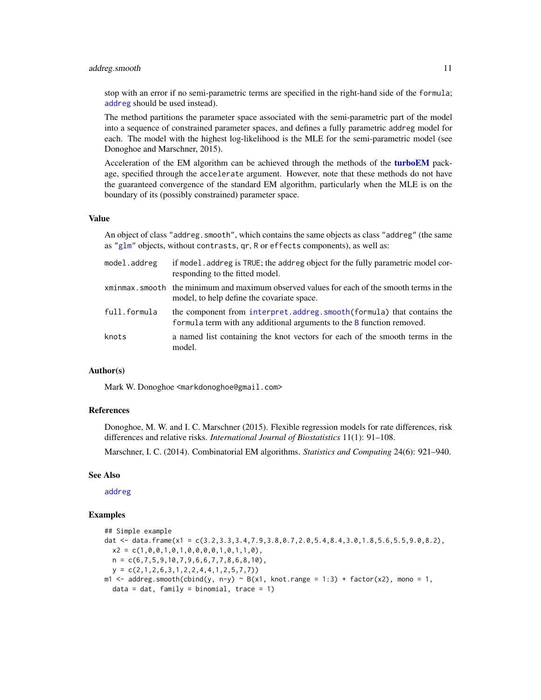#### <span id="page-10-0"></span>addreg.smooth 11

stop with an error if no semi-parametric terms are specified in the right-hand side of the formula; [addreg](#page-2-1) should be used instead).

The method partitions the parameter space associated with the semi-parametric part of the model into a sequence of constrained parameter spaces, and defines a fully parametric addreg model for each. The model with the highest log-likelihood is the MLE for the semi-parametric model (see Donoghoe and Marschner, 2015).

Acceleration of the EM algorithm can be achieved through the methods of the [turboEM](#page-0-0) package, specified through the accelerate argument. However, note that these methods do not have the guaranteed convergence of the standard EM algorithm, particularly when the MLE is on the boundary of its (possibly constrained) parameter space.

# Value

An object of class "addreg.smooth", which contains the same objects as class "addreg" (the same as ["glm"](#page-0-0) objects, without contrasts, qr, R or effects components), as well as:

| model.addreg | if model. addreg is TRUE; the addreg object for the fully parametric model cor-<br>responding to the fitted model.                             |
|--------------|------------------------------------------------------------------------------------------------------------------------------------------------|
|              | xminmax, smooth the minimum and maximum observed values for each of the smooth terms in the<br>model, to help define the covariate space.      |
| full.formula | the component from interpret.addreg.smooth(formula) that contains the<br>formula term with any additional arguments to the B function removed. |
| knots        | a named list containing the knot vectors for each of the smooth terms in the<br>model.                                                         |

# Author(s)

Mark W. Donoghoe <markdonoghoe@gmail.com>

# References

Donoghoe, M. W. and I. C. Marschner (2015). Flexible regression models for rate differences, risk differences and relative risks. *International Journal of Biostatistics* 11(1): 91–108.

Marschner, I. C. (2014). Combinatorial EM algorithms. *Statistics and Computing* 24(6): 921–940.

#### See Also

[addreg](#page-2-1)

#### Examples

```
## Simple example
dat <- data.frame(x1 = c(3.2,3.3,3.4,7.9,3.8,0.7,2.0,5.4,8.4,3.0,1.8,5.6,5.5,9.0,8.2),
  x2 = c(1, 0, 0, 1, 0, 1, 0, 0, 0, 0, 1, 0, 1, 1, 0),
  n = c(6, 7, 5, 9, 10, 7, 9, 6, 6, 7, 7, 8, 6, 8, 10),
  y = c(2,1,2,6,3,1,2,2,4,4,1,2,5,7,7))m1 < - addreg.smooth(cbind(y, n-y) \sim B(x1, knot.name = 1:3) + factor(x2), mono = 1,
  data = dat, family = binomial, trace = 1)
```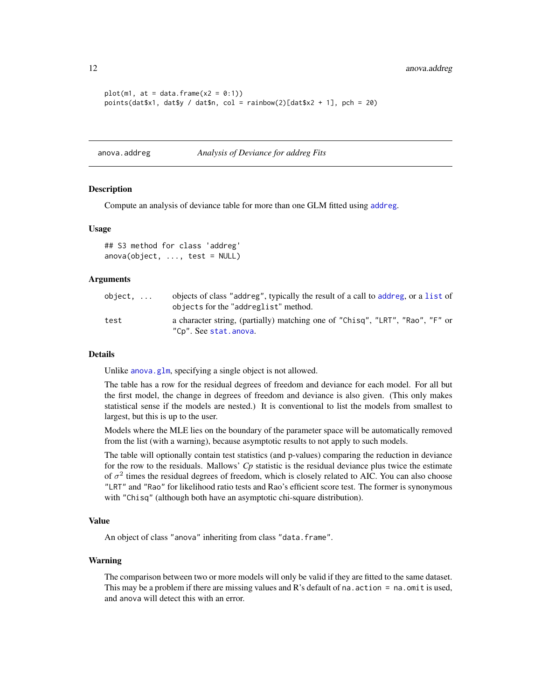```
plot(m1, at = data-frame(x2 = 0:1))points(dat$x1, dat$y / dat$n, col = rainbow(2)[dat$x2 + 1], pch = 20)
```
anova.addreg *Analysis of Deviance for addreg Fits*

#### Description

Compute an analysis of deviance table for more than one GLM fitted using [addreg](#page-2-1).

#### Usage

## S3 method for class 'addreg'  $anova(object, ..., test = NULL)$ 

#### Arguments

| object. | objects of class "addreg", typically the result of a call to addreg, or a list of<br>objects for the "addreglist" method. |
|---------|---------------------------------------------------------------------------------------------------------------------------|
| test    | a character string, (partially) matching one of "Chisq", "LRT", "Rao", "F" or<br>"Cp". See stat.anova.                    |

#### Details

Unlike [anova.glm](#page-0-0), specifying a single object is not allowed.

The table has a row for the residual degrees of freedom and deviance for each model. For all but the first model, the change in degrees of freedom and deviance is also given. (This only makes statistical sense if the models are nested.) It is conventional to list the models from smallest to largest, but this is up to the user.

Models where the MLE lies on the boundary of the parameter space will be automatically removed from the list (with a warning), because asymptotic results to not apply to such models.

The table will optionally contain test statistics (and p-values) comparing the reduction in deviance for the row to the residuals. Mallows' *Cp* statistic is the residual deviance plus twice the estimate of  $\sigma^2$  times the residual degrees of freedom, which is closely related to AIC. You can also choose "LRT" and "Rao" for likelihood ratio tests and Rao's efficient score test. The former is synonymous with "Chisq" (although both have an asymptotic chi-square distribution).

# Value

An object of class "anova" inheriting from class "data.frame".

#### Warning

The comparison between two or more models will only be valid if they are fitted to the same dataset. This may be a problem if there are missing values and  $R$ 's default of na. action = na. omit is used, and anova will detect this with an error.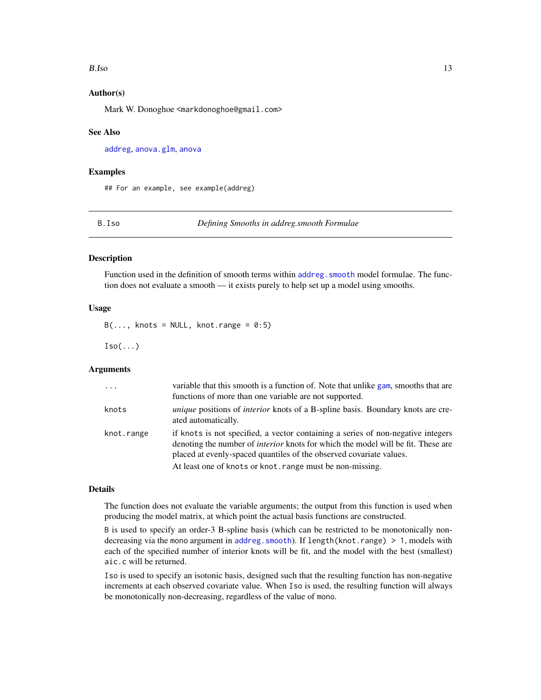#### <span id="page-12-0"></span>B.Iso 13

# Author(s)

Mark W. Donoghoe <markdonoghoe@gmail.com>

#### See Also

[addreg](#page-2-1), [anova.glm](#page-0-0), [anova](#page-0-0)

#### Examples

## For an example, see example(addreg)

B.Iso *Defining Smooths in addreg.smooth Formulae*

#### <span id="page-12-1"></span>Description

Function used in the definition of smooth terms within addreg. smooth model formulae. The function does not evaluate a smooth — it exists purely to help set up a model using smooths.

#### Usage

 $B(\ldots,$  knots = NULL, knot.range = 0:5)

 $Iso(...)$ 

# Arguments

| $\ddots$   | variable that this smooth is a function of. Note that unlike gam, smooths that are<br>functions of more than one variable are not supported.                                                                                                                                                                    |
|------------|-----------------------------------------------------------------------------------------------------------------------------------------------------------------------------------------------------------------------------------------------------------------------------------------------------------------|
| knots      | <i>unique</i> positions of <i>interior</i> knots of a B-spline basis. Boundary knots are cre-<br>ated automatically.                                                                                                                                                                                            |
| knot.range | if knots is not specified, a vector containing a series of non-negative integers<br>denoting the number of <i>interior</i> knots for which the model will be fit. These are<br>placed at evenly-spaced quantiles of the observed covariate values.<br>At least one of knots or knot, range must be non-missing. |

# Details

The function does not evaluate the variable arguments; the output from this function is used when producing the model matrix, at which point the actual basis functions are constructed.

B is used to specify an order-3 B-spline basis (which can be restricted to be monotonically nondecreasing via the mono argument in [addreg.smooth](#page-8-1)). If length(knot.range) > 1, models with each of the specified number of interior knots will be fit, and the model with the best (smallest) aic.c will be returned.

Iso is used to specify an isotonic basis, designed such that the resulting function has non-negative increments at each observed covariate value. When Iso is used, the resulting function will always be monotonically non-decreasing, regardless of the value of mono.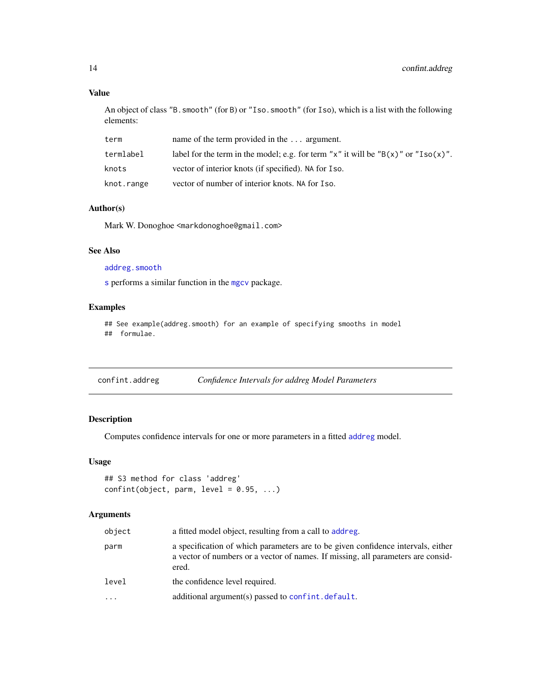# Value

An object of class "B.smooth" (for B) or "Iso.smooth" (for Iso), which is a list with the following elements:

| term       | name of the term provided in the $\dots$ argument.                                        |
|------------|-------------------------------------------------------------------------------------------|
| termlabel  | label for the term in the model; e.g. for term "x" it will be " $B(x)$ " or " $Iso(x)$ ". |
| knots      | vector of interior knots (if specified). NA for Iso.                                      |
| knot.range | vector of number of interior knots. NA for Iso.                                           |

# Author(s)

Mark W. Donoghoe <markdonoghoe@gmail.com>

### See Also

# [addreg.smooth](#page-8-1)

[s](#page-0-0) performs a similar function in the [mgcv](#page-0-0) package.

# Examples

```
## See example(addreg.smooth) for an example of specifying smooths in model
## formulae.
```

| confint.addreg | Confidence Intervals for addreg Model Parameters |  |  |
|----------------|--------------------------------------------------|--|--|
|                |                                                  |  |  |

# Description

Computes confidence intervals for one or more parameters in a fitted [addreg](#page-2-1) model.

#### Usage

```
## S3 method for class 'addreg'
confint(object, parm, level = 0.95, ...)
```
# Arguments

| object   | a fitted model object, resulting from a call to addreg.                                                                                                                       |
|----------|-------------------------------------------------------------------------------------------------------------------------------------------------------------------------------|
| parm     | a specification of which parameters are to be given confidence intervals, either<br>a vector of numbers or a vector of names. If missing, all parameters are consid-<br>ered. |
| level    | the confidence level required.                                                                                                                                                |
| $\cdots$ | additional argument(s) passed to confint. default.                                                                                                                            |

<span id="page-13-0"></span>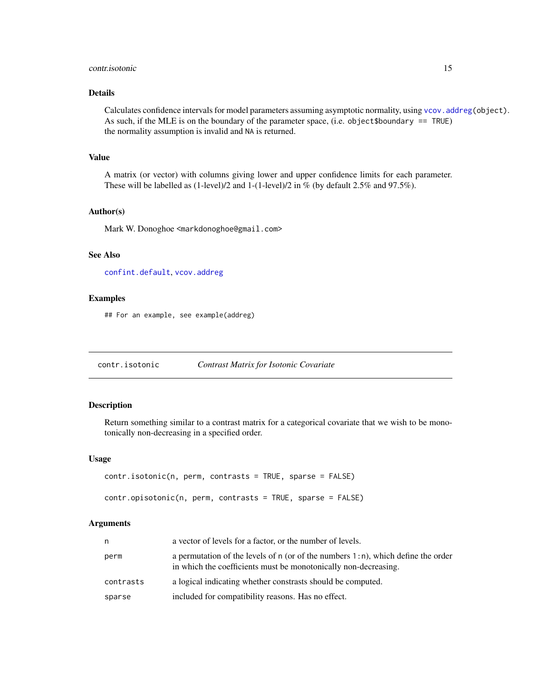#### <span id="page-14-0"></span>contr.isotonic 15

# Details

Calculates confidence intervals for model parameters assuming asymptotic normality, using [vcov.addreg\(](#page-29-1)object). As such, if the MLE is on the boundary of the parameter space, (i.e. object\$boundary == TRUE) the normality assumption is invalid and NA is returned.

#### Value

A matrix (or vector) with columns giving lower and upper confidence limits for each parameter. These will be labelled as (1-level)/2 and 1-(1-level)/2 in % (by default 2.5% and 97.5%).

#### Author(s)

Mark W. Donoghoe <markdonoghoe@gmail.com>

# See Also

[confint.default](#page-0-0), [vcov.addreg](#page-29-1)

#### Examples

## For an example, see example(addreg)

contr.isotonic *Contrast Matrix for Isotonic Covariate*

# Description

Return something similar to a contrast matrix for a categorical covariate that we wish to be monotonically non-decreasing in a specified order.

#### Usage

```
contr.isotonic(n, perm, contrasts = TRUE, sparse = FALSE)
contr.opisotonic(n, perm, contrasts = TRUE, sparse = FALSE)
```
#### Arguments

| n         | a vector of levels for a factor, or the number of levels.                                                                                              |
|-----------|--------------------------------------------------------------------------------------------------------------------------------------------------------|
| perm      | a permutation of the levels of n (or of the numbers $1:n$ ), which define the order<br>in which the coefficients must be monotonically non-decreasing. |
| contrasts | a logical indicating whether constrasts should be computed.                                                                                            |
| sparse    | included for compatibility reasons. Has no effect.                                                                                                     |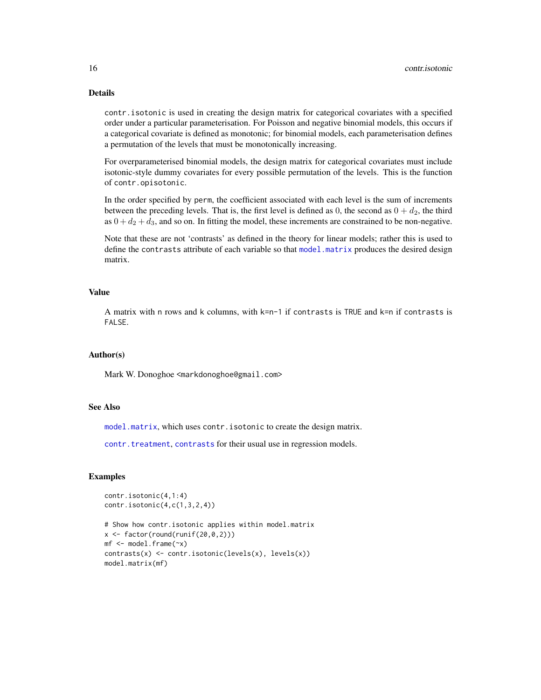# Details

contr.isotonic is used in creating the design matrix for categorical covariates with a specified order under a particular parameterisation. For Poisson and negative binomial models, this occurs if a categorical covariate is defined as monotonic; for binomial models, each parameterisation defines a permutation of the levels that must be monotonically increasing.

For overparameterised binomial models, the design matrix for categorical covariates must include isotonic-style dummy covariates for every possible permutation of the levels. This is the function of contr.opisotonic.

In the order specified by perm, the coefficient associated with each level is the sum of increments between the preceding levels. That is, the first level is defined as 0, the second as  $0 + d_2$ , the third as  $0 + d_2 + d_3$ , and so on. In fitting the model, these increments are constrained to be non-negative.

Note that these are not 'contrasts' as defined in the theory for linear models; rather this is used to define the contrasts attribute of each variable so that [model.matrix](#page-0-0) produces the desired design matrix.

# Value

A matrix with n rows and k columns, with k=n-1 if contrasts is TRUE and k=n if contrasts is FALSE.

# Author(s)

Mark W. Donoghoe <markdonoghoe@gmail.com>

# See Also

[model.matrix](#page-0-0), which uses contr.isotonic to create the design matrix.

[contr.treatment](#page-0-0), [contrasts](#page-0-0) for their usual use in regression models.

# Examples

```
contr.isotonic(4,1:4)
contr.isotonic(4,c(1,3,2,4))
```

```
# Show how contr.isotonic applies within model.matrix
x \leftarrow factor(round(runif(20,0,2)))
mf \leftarrow model-frame(\sim x)contrasts(x) <- contr.isotonic(levels(x), levels(x))
model.matrix(mf)
```
<span id="page-15-0"></span>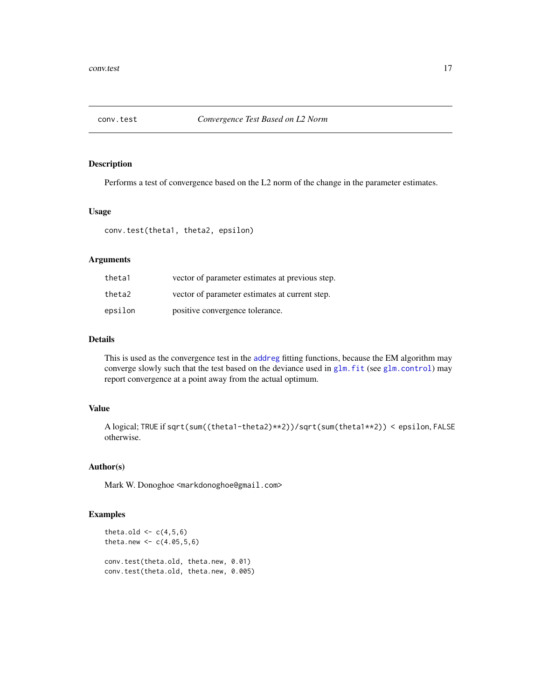<span id="page-16-1"></span><span id="page-16-0"></span>

# Description

Performs a test of convergence based on the L2 norm of the change in the parameter estimates.

#### Usage

conv.test(theta1, theta2, epsilon)

# Arguments

| theta1  | vector of parameter estimates at previous step. |
|---------|-------------------------------------------------|
| theta2  | vector of parameter estimates at current step.  |
| epsilon | positive convergence tolerance.                 |

# Details

This is used as the convergence test in the [addreg](#page-2-1) fitting functions, because the EM algorithm may converge slowly such that the test based on the deviance used in [glm.fit](#page-0-0) (see [glm.control](#page-0-0)) may report convergence at a point away from the actual optimum.

# Value

A logical; TRUE if sqrt(sum((theta1-theta2)\*\*2))/sqrt(sum(theta1\*\*2)) < epsilon, FALSE otherwise.

# Author(s)

Mark W. Donoghoe <markdonoghoe@gmail.com>

#### Examples

```
theta.old \leq c(4,5,6)theta.new <-c(4.05,5,6)conv.test(theta.old, theta.new, 0.01)
conv.test(theta.old, theta.new, 0.005)
```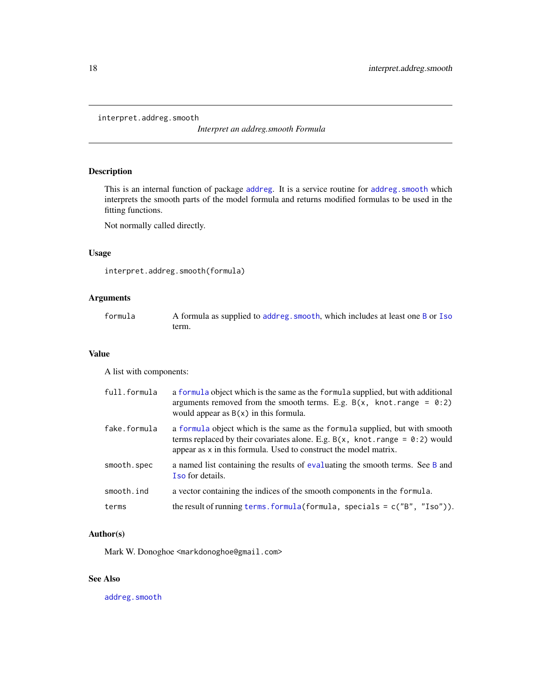<span id="page-17-1"></span><span id="page-17-0"></span>interpret.addreg.smooth

*Interpret an addreg.smooth Formula*

# Description

This is an internal function of package [addreg](#page-1-1). It is a service routine for addreg. smooth which interprets the smooth parts of the model formula and returns modified formulas to be used in the fitting functions.

Not normally called directly.

# Usage

```
interpret.addreg.smooth(formula)
```
# Arguments

| formula | A formula as supplied to addreg. smooth, which includes at least one B or Iso |
|---------|-------------------------------------------------------------------------------|
|         | term.                                                                         |

#### Value

A list with components:

| full.formula | a formula object which is the same as the formula supplied, but with additional<br>arguments removed from the smooth terms. E.g. $B(x, \text{ knot. range } = 0.2)$<br>would appear as $B(x)$ in this formula.                            |
|--------------|-------------------------------------------------------------------------------------------------------------------------------------------------------------------------------------------------------------------------------------------|
| fake.formula | a formula object which is the same as the formula supplied, but with smooth<br>terms replaced by their covariates alone. E.g. $B(x, \text{ knot. range} = 0.2)$ would<br>appear as x in this formula. Used to construct the model matrix. |
| smooth.spec  | a named list containing the results of evaluating the smooth terms. See B and<br><b>Iso</b> for details.                                                                                                                                  |
| smooth.ind   | a vector containing the indices of the smooth components in the formula.                                                                                                                                                                  |
| terms        | the result of running terms. formula (formula, specials = $c("B", "Iso")$ ).                                                                                                                                                              |

# Author(s)

Mark W. Donoghoe <markdonoghoe@gmail.com>

# See Also

[addreg.smooth](#page-8-1)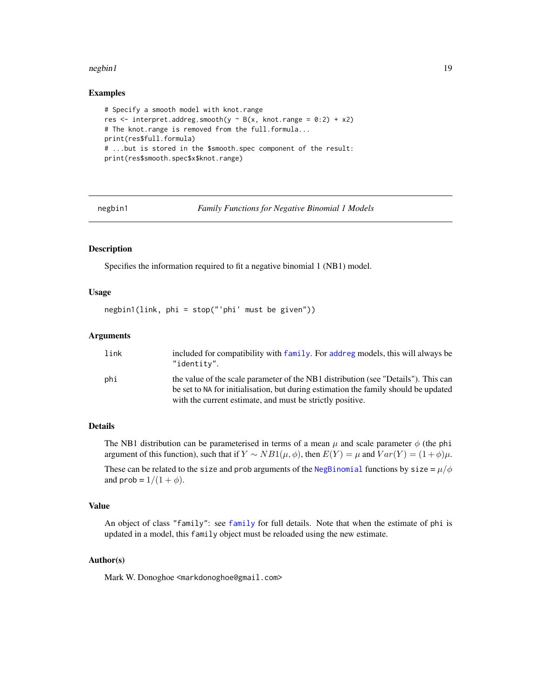#### <span id="page-18-0"></span>negbin1 19

#### Examples

```
# Specify a smooth model with knot.range
res <- interpret.addreg.smooth(y ~ B(x, knot.range = 0:2) + x2)
# The knot.range is removed from the full.formula...
print(res$full.formula)
# ...but is stored in the $smooth.spec component of the result:
print(res$smooth.spec$x$knot.range)
```
<span id="page-18-1"></span>negbin1 *Family Functions for Negative Binomial 1 Models*

#### Description

Specifies the information required to fit a negative binomial 1 (NB1) model.

#### Usage

```
negbin1(link, phi = stop("'phi' must be given"))
```
#### Arguments

| link | included for compatibility with family. For addreg models, this will always be<br>"identity".                                                                             |
|------|---------------------------------------------------------------------------------------------------------------------------------------------------------------------------|
| phi  | the value of the scale parameter of the NB1 distribution (see "Details"). This can<br>be set to NA for initialisation, but during estimation the family should be updated |
|      | with the current estimate, and must be strictly positive.                                                                                                                 |

#### Details

The NB1 distribution can be parameterised in terms of a mean  $\mu$  and scale parameter  $\phi$  (the phi argument of this function), such that if  $Y \sim NB1(\mu, \phi)$ , then  $E(Y) = \mu$  and  $Var(Y) = (1 + \phi)\mu$ .

These can be related to the size and prob arguments of the [NegBinomial](#page-0-0) functions by size =  $\mu/\phi$ and prob =  $1/(1 + \phi)$ .

# Value

An object of class "family": see [family](#page-0-0) for full details. Note that when the estimate of phi is updated in a model, this family object must be reloaded using the new estimate.

#### Author(s)

Mark W. Donoghoe <markdonoghoe@gmail.com>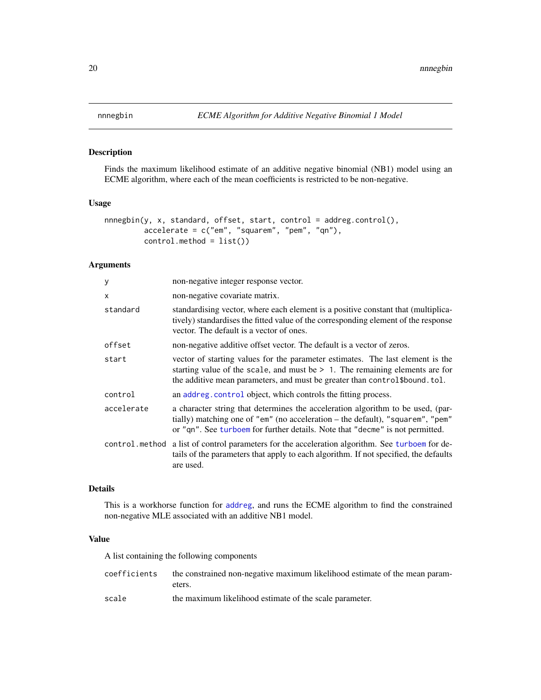# <span id="page-19-1"></span><span id="page-19-0"></span>Description

Finds the maximum likelihood estimate of an additive negative binomial (NB1) model using an ECME algorithm, where each of the mean coefficients is restricted to be non-negative.

# Usage

```
nnnegbin(y, x, standard, offset, start, control = addreg.control(),
         accelerate = c("em", "squarem", "pem", "qn"),
         control.method = list())
```
# Arguments

| У            | non-negative integer response vector.                                                                                                                                                                                                              |
|--------------|----------------------------------------------------------------------------------------------------------------------------------------------------------------------------------------------------------------------------------------------------|
| $\mathsf{x}$ | non-negative covariate matrix.                                                                                                                                                                                                                     |
| standard     | standardising vector, where each element is a positive constant that (multiplica-<br>tively) standardises the fitted value of the corresponding element of the response<br>vector. The default is a vector of ones.                                |
| offset       | non-negative additive offset vector. The default is a vector of zeros.                                                                                                                                                                             |
| start        | vector of starting values for the parameter estimates. The last element is the<br>starting value of the scale, and must be $> 1$ . The remaining elements are for<br>the additive mean parameters, and must be greater than control\$bound.tol.    |
| control      | an addreg.control object, which controls the fitting process.                                                                                                                                                                                      |
| accelerate   | a character string that determines the acceleration algorithm to be used, (par-<br>tially) matching one of "em" (no acceleration - the default), "squarem", "pem"<br>or "qn". See turboem for further details. Note that "decme" is not permitted. |
|              | control method a list of control parameters for the acceleration algorithm. See turboem for de-<br>tails of the parameters that apply to each algorithm. If not specified, the defaults<br>are used.                                               |

# Details

This is a workhorse function for [addreg](#page-2-1), and runs the ECME algorithm to find the constrained non-negative MLE associated with an additive NB1 model.

# Value

A list containing the following components

|       | coefficients the constrained non-negative maximum likelihood estimate of the mean param- |
|-------|------------------------------------------------------------------------------------------|
|       | eters.                                                                                   |
| . 1 . | the montineers likelihood entimate of the cools momentum                                 |

scale the maximum likelihood estimate of the scale parameter.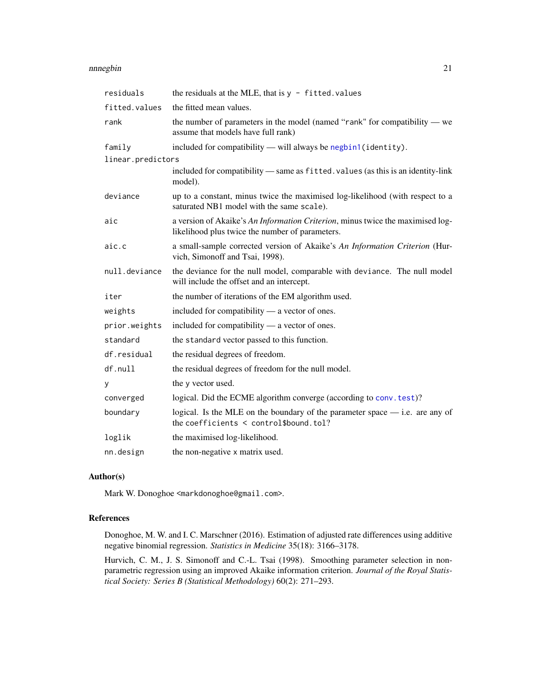#### <span id="page-20-0"></span>nnnegbin 21 ann an 2008. 'S ann an 2008 ann an 2008 ann an 2008 ann an 2008 ann an 2008. 'S an 2008 ann an 20

| residuals         | the residuals at the MLE, that is $y$ - fitted. values                                                                            |
|-------------------|-----------------------------------------------------------------------------------------------------------------------------------|
| fitted.values     | the fitted mean values.                                                                                                           |
| rank              | the number of parameters in the model (named "rank" for compatibility $\rightarrow$ we<br>assume that models have full rank)      |
| family            | included for compatibility — will always be negbin1(identity).                                                                    |
| linear.predictors |                                                                                                                                   |
|                   | included for compatibility — same as fitted. values (as this is an identity-link<br>model).                                       |
| deviance          | up to a constant, minus twice the maximised log-likelihood (with respect to a<br>saturated NB1 model with the same scale).        |
| aic               | a version of Akaike's An Information Criterion, minus twice the maximised log-<br>likelihood plus twice the number of parameters. |
| aic.c             | a small-sample corrected version of Akaike's An Information Criterion (Hur-<br>vich, Simonoff and Tsai, 1998).                    |
| null.deviance     | the deviance for the null model, comparable with deviance. The null model<br>will include the offset and an intercept.            |
| iter              | the number of iterations of the EM algorithm used.                                                                                |
| weights           | included for compatibility — a vector of ones.                                                                                    |
| prior.weights     | included for compatibility — a vector of ones.                                                                                    |
| standard          | the standard vector passed to this function.                                                                                      |
| df.residual       | the residual degrees of freedom.                                                                                                  |
| df.null           | the residual degrees of freedom for the null model.                                                                               |
| У                 | the y vector used.                                                                                                                |
| converged         | logical. Did the ECME algorithm converge (according to conv. test)?                                                               |
| boundary          | logical. Is the MLE on the boundary of the parameter space $-$ i.e. are any of<br>the coefficients $\le$ control\$bound.tol?      |
| loglik            | the maximised log-likelihood.                                                                                                     |
| nn.design         | the non-negative x matrix used.                                                                                                   |

# Author(s)

Mark W. Donoghoe <markdonoghoe@gmail.com>.

# References

Donoghoe, M. W. and I. C. Marschner (2016). Estimation of adjusted rate differences using additive negative binomial regression. *Statistics in Medicine* 35(18): 3166–3178.

Hurvich, C. M., J. S. Simonoff and C.-L. Tsai (1998). Smoothing parameter selection in nonparametric regression using an improved Akaike information criterion. *Journal of the Royal Statistical Society: Series B (Statistical Methodology)* 60(2): 271–293.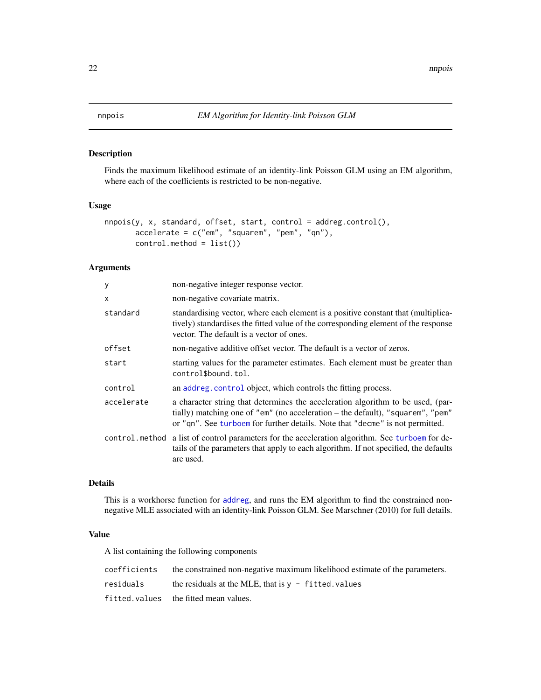<span id="page-21-1"></span><span id="page-21-0"></span>

#### Description

Finds the maximum likelihood estimate of an identity-link Poisson GLM using an EM algorithm, where each of the coefficients is restricted to be non-negative.

#### Usage

```
nnpois(y, x, standard, offset, start, control = addreg.control(),
       accelerate = c("em", "square", "pem", "qm"),control.method = list())
```
# Arguments

| у          | non-negative integer response vector.                                                                                                                                                                                                              |
|------------|----------------------------------------------------------------------------------------------------------------------------------------------------------------------------------------------------------------------------------------------------|
| x          | non-negative covariate matrix.                                                                                                                                                                                                                     |
| standard   | standardising vector, where each element is a positive constant that (multiplica-<br>tively) standardises the fitted value of the corresponding element of the response<br>vector. The default is a vector of ones.                                |
| offset     | non-negative additive offset vector. The default is a vector of zeros.                                                                                                                                                                             |
| start      | starting values for the parameter estimates. Each element must be greater than<br>control\$bound.tol.                                                                                                                                              |
| control    | an addreg.control object, which controls the fitting process.                                                                                                                                                                                      |
| accelerate | a character string that determines the acceleration algorithm to be used, (par-<br>tially) matching one of "em" (no acceleration - the default), "squarem", "pem"<br>or "qn". See turboem for further details. Note that "decme" is not permitted. |
|            | control.method a list of control parameters for the acceleration algorithm. See turboem for de-<br>tails of the parameters that apply to each algorithm. If not specified, the defaults<br>are used.                                               |

#### Details

This is a workhorse function for [addreg](#page-2-1), and runs the EM algorithm to find the constrained nonnegative MLE associated with an identity-link Poisson GLM. See Marschner (2010) for full details.

### Value

A list containing the following components

| coefficients | the constrained non-negative maximum likelihood estimate of the parameters. |
|--------------|-----------------------------------------------------------------------------|
| residuals    | the residuals at the MLE, that is $v -$ fitted, values                      |
|              | fitted.values the fitted mean values.                                       |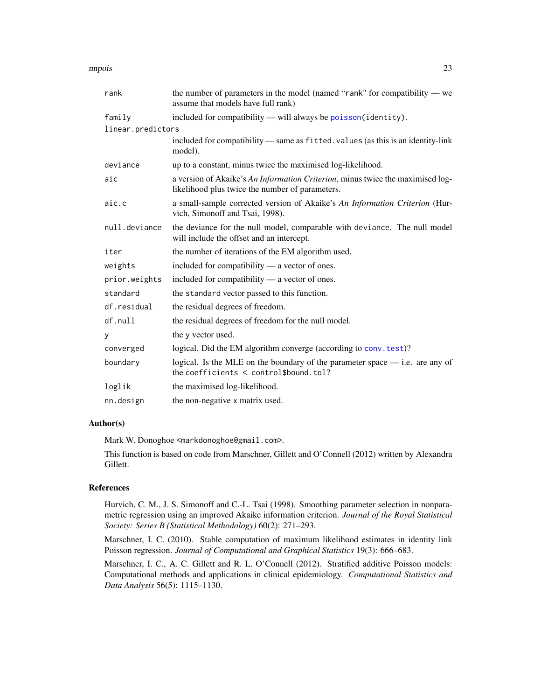#### <span id="page-22-0"></span>nnpois 23

| rank              | the number of parameters in the model (named "rank" for compatibility — we<br>assume that models have full rank)                  |
|-------------------|-----------------------------------------------------------------------------------------------------------------------------------|
| family            | included for compatibility - will always be poisson(identity).                                                                    |
| linear.predictors |                                                                                                                                   |
|                   | included for compatibility — same as fitted. values (as this is an identity-link<br>model).                                       |
| deviance          | up to a constant, minus twice the maximised log-likelihood.                                                                       |
| aic               | a version of Akaike's An Information Criterion, minus twice the maximised log-<br>likelihood plus twice the number of parameters. |
| aic.c             | a small-sample corrected version of Akaike's An Information Criterion (Hur-<br>vich, Simonoff and Tsai, 1998).                    |
| null.deviance     | the deviance for the null model, comparable with deviance. The null model<br>will include the offset and an intercept.            |
| iter              | the number of iterations of the EM algorithm used.                                                                                |
| weights           | included for compatibility — a vector of ones.                                                                                    |
| prior.weights     | included for compatibility — a vector of ones.                                                                                    |
| standard          | the standard vector passed to this function.                                                                                      |
| df.residual       | the residual degrees of freedom.                                                                                                  |
| df.null           | the residual degrees of freedom for the null model.                                                                               |
| y                 | the y vector used.                                                                                                                |
| converged         | logical. Did the EM algorithm converge (according to conv. test)?                                                                 |
| boundary          | logical. Is the MLE on the boundary of the parameter space $-$ i.e. are any of<br>the coefficients $\le$ control\$bound.tol?      |
| loglik            | the maximised log-likelihood.                                                                                                     |
| nn.design         | the non-negative x matrix used.                                                                                                   |

# Author(s)

Mark W. Donoghoe <markdonoghoe@gmail.com>.

This function is based on code from Marschner, Gillett and O'Connell (2012) written by Alexandra Gillett.

# References

Hurvich, C. M., J. S. Simonoff and C.-L. Tsai (1998). Smoothing parameter selection in nonparametric regression using an improved Akaike information criterion. *Journal of the Royal Statistical Society: Series B (Statistical Methodology)* 60(2): 271–293.

Marschner, I. C. (2010). Stable computation of maximum likelihood estimates in identity link Poisson regression. *Journal of Computational and Graphical Statistics* 19(3): 666–683.

Marschner, I. C., A. C. Gillett and R. L. O'Connell (2012). Stratified additive Poisson models: Computational methods and applications in clinical epidemiology. *Computational Statistics and Data Analysis* 56(5): 1115–1130.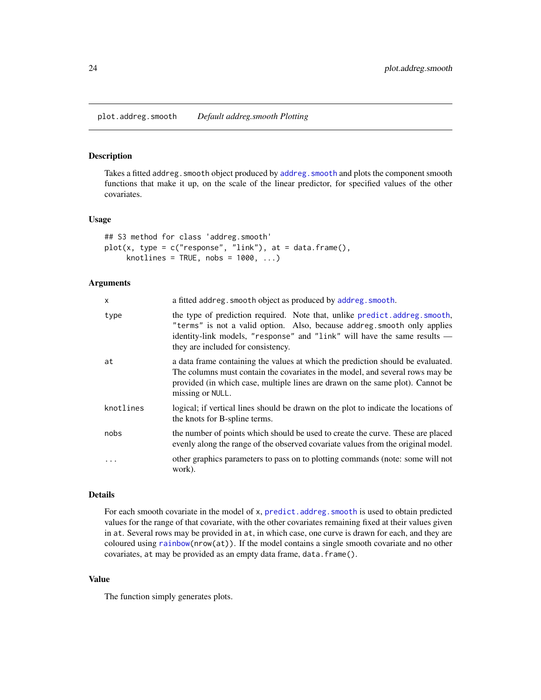<span id="page-23-0"></span>plot.addreg.smooth *Default addreg.smooth Plotting*

# Description

Takes a fitted addreg. smooth object produced by addreg. smooth and plots the component smooth functions that make it up, on the scale of the linear predictor, for specified values of the other covariates.

# Usage

```
## S3 method for class 'addreg.smooth'
plot(x, type = c("response", "link"), at = data-frame(),knotlines = TRUE, nobs = 1000, ...
```
# Arguments

| x          | a fitted addreg. smooth object as produced by addreg. smooth.                                                                                                                                                                                                           |
|------------|-------------------------------------------------------------------------------------------------------------------------------------------------------------------------------------------------------------------------------------------------------------------------|
| type       | the type of prediction required. Note that, unlike predict.addreg.smooth,<br>"terms" is not a valid option. Also, because addreg. smooth only applies<br>identity-link models, "response" and "link" will have the same results —<br>they are included for consistency. |
| at         | a data frame containing the values at which the prediction should be evaluated.<br>The columns must contain the covariates in the model, and several rows may be<br>provided (in which case, multiple lines are drawn on the same plot). Cannot be<br>missing or NULL.  |
| knotlines  | logical; if vertical lines should be drawn on the plot to indicate the locations of<br>the knots for B-spline terms.                                                                                                                                                    |
| nobs       | the number of points which should be used to create the curve. These are placed<br>evenly along the range of the observed covariate values from the original model.                                                                                                     |
| $\ddots$ . | other graphics parameters to pass on to plotting commands (note: some will not<br>work).                                                                                                                                                                                |

#### Details

For each smooth covariate in the model of x, [predict.addreg.smooth](#page-25-1) is used to obtain predicted values for the range of that covariate, with the other covariates remaining fixed at their values given in at. Several rows may be provided in at, in which case, one curve is drawn for each, and they are coloured using  $rainbow(nrow(at))$  $rainbow(nrow(at))$ . If the model contains a single smooth covariate and no other covariates, at may be provided as an empty data frame, data.frame().

## Value

The function simply generates plots.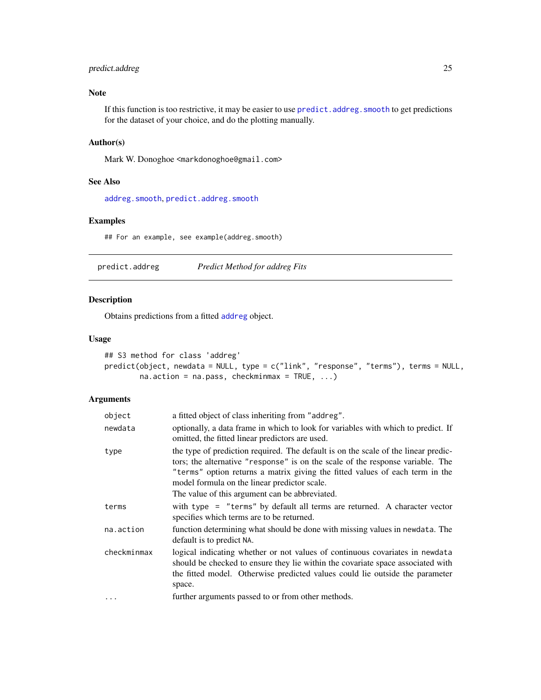# <span id="page-24-0"></span>predict.addreg 25

# Note

If this function is too restrictive, it may be easier to use predict. addreg. smooth to get predictions for the dataset of your choice, and do the plotting manually.

# Author(s)

Mark W. Donoghoe <markdonoghoe@gmail.com>

#### See Also

[addreg.smooth](#page-8-1), [predict.addreg.smooth](#page-25-1)

#### Examples

## For an example, see example(addreg.smooth)

<span id="page-24-1"></span>predict.addreg *Predict Method for addreg Fits*

# Description

Obtains predictions from a fitted [addreg](#page-2-1) object.

#### Usage

```
## S3 method for class 'addreg'
predict(object, newdata = NULL, type = c("link", "response", "terms"), terms = NULL,
        na. action = na.pass, checkminmax = TRUE, ...)
```
# Arguments

| object      | a fitted object of class inheriting from "addreg".                                                                                                                                                                                                                                                                                                     |
|-------------|--------------------------------------------------------------------------------------------------------------------------------------------------------------------------------------------------------------------------------------------------------------------------------------------------------------------------------------------------------|
| newdata     | optionally, a data frame in which to look for variables with which to predict. If<br>omitted, the fitted linear predictors are used.                                                                                                                                                                                                                   |
| type        | the type of prediction required. The default is on the scale of the linear predic-<br>tors; the alternative "response" is on the scale of the response variable. The<br>"terms" option returns a matrix giving the fitted values of each term in the<br>model formula on the linear predictor scale.<br>The value of this argument can be abbreviated. |
| terms       | with type = "terms" by default all terms are returned. A character vector<br>specifies which terms are to be returned.                                                                                                                                                                                                                                 |
| na.action   | function determining what should be done with missing values in newdata. The<br>default is to predict NA.                                                                                                                                                                                                                                              |
| checkminmax | logical indicating whether or not values of continuous covariates in newdata<br>should be checked to ensure they lie within the covariate space associated with<br>the fitted model. Otherwise predicted values could lie outside the parameter<br>space.                                                                                              |
|             | further arguments passed to or from other methods.                                                                                                                                                                                                                                                                                                     |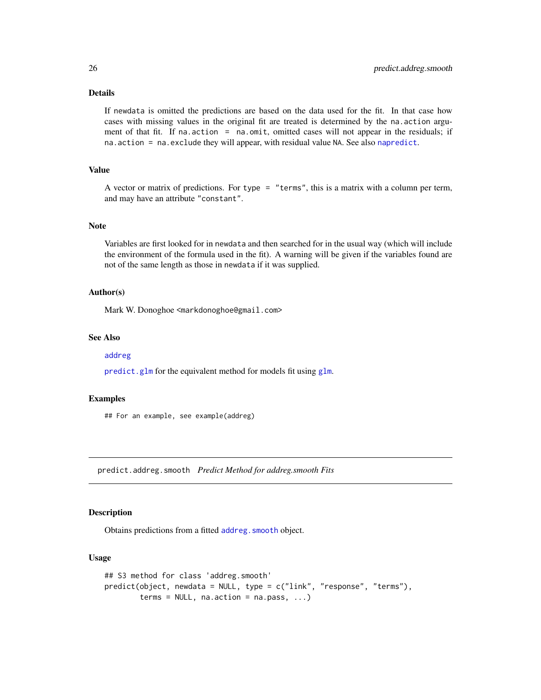# Details

If newdata is omitted the predictions are based on the data used for the fit. In that case how cases with missing values in the original fit are treated is determined by the na.action argument of that fit. If na.action = na.omit, omitted cases will not appear in the residuals; if na.action = na.exclude they will appear, with residual value NA. See also [napredict](#page-0-0).

#### Value

A vector or matrix of predictions. For type = "terms", this is a matrix with a column per term, and may have an attribute "constant".

#### Note

Variables are first looked for in newdata and then searched for in the usual way (which will include the environment of the formula used in the fit). A warning will be given if the variables found are not of the same length as those in newdata if it was supplied.

# Author(s)

Mark W. Donoghoe <markdonoghoe@gmail.com>

#### See Also

#### [addreg](#page-2-1)

[predict.glm](#page-0-0) for the equivalent method for models fit using [glm](#page-0-0).

# Examples

## For an example, see example(addreg)

<span id="page-25-1"></span>predict.addreg.smooth *Predict Method for addreg.smooth Fits*

## Description

Obtains predictions from a fitted [addreg.smooth](#page-8-1) object.

#### Usage

```
## S3 method for class 'addreg.smooth'
predict(object, newdata = NULL, type = c("link", "response", "terms"),
        terms = NULL, na. action = na. pass, ...)
```
<span id="page-25-0"></span>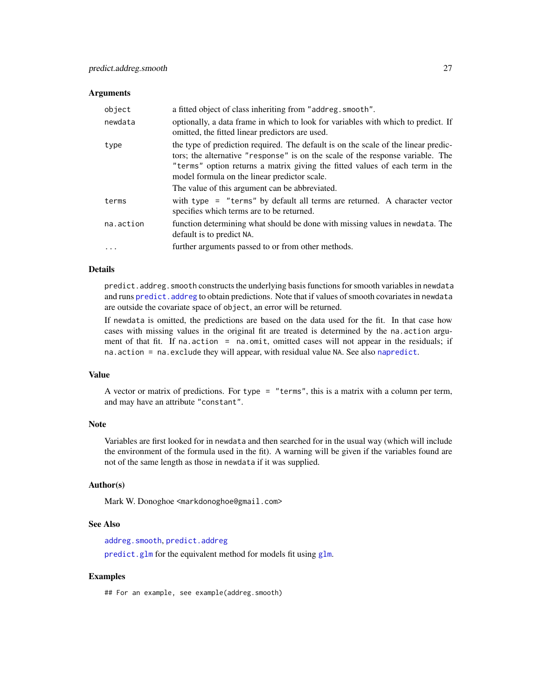#### <span id="page-26-0"></span>**Arguments**

| object    | a fitted object of class inheriting from "addreg. smooth".                                                                                                                                                                                                                                           |
|-----------|------------------------------------------------------------------------------------------------------------------------------------------------------------------------------------------------------------------------------------------------------------------------------------------------------|
| newdata   | optionally, a data frame in which to look for variables with which to predict. If<br>omitted, the fitted linear predictors are used.                                                                                                                                                                 |
| type      | the type of prediction required. The default is on the scale of the linear predic-<br>tors; the alternative "response" is on the scale of the response variable. The<br>"terms" option returns a matrix giving the fitted values of each term in the<br>model formula on the linear predictor scale. |
|           | The value of this argument can be abbreviated.                                                                                                                                                                                                                                                       |
| terms     | with type $=$ "terms" by default all terms are returned. A character vector<br>specifies which terms are to be returned.                                                                                                                                                                             |
| na.action | function determining what should be done with missing values in newdata. The<br>default is to predict NA.                                                                                                                                                                                            |
| $\cdots$  | further arguments passed to or from other methods.                                                                                                                                                                                                                                                   |

# Details

predict.addreg.smooth constructs the underlying basis functions for smooth variables in newdata and runs predict. addreg to obtain predictions. Note that if values of smooth covariates in newdata are outside the covariate space of object, an error will be returned.

If newdata is omitted, the predictions are based on the data used for the fit. In that case how cases with missing values in the original fit are treated is determined by the na.action argument of that fit. If na.action = na.omit, omitted cases will not appear in the residuals; if na.action = na.exclude they will appear, with residual value NA. See also [napredict](#page-0-0).

#### Value

A vector or matrix of predictions. For type = "terms", this is a matrix with a column per term, and may have an attribute "constant".

#### Note

Variables are first looked for in newdata and then searched for in the usual way (which will include the environment of the formula used in the fit). A warning will be given if the variables found are not of the same length as those in newdata if it was supplied.

#### Author(s)

Mark W. Donoghoe <markdonoghoe@gmail.com>

### See Also

[addreg.smooth](#page-8-1), [predict.addreg](#page-24-1)

[predict.glm](#page-0-0) for the equivalent method for models fit using [glm](#page-0-0).

#### Examples

## For an example, see example(addreg.smooth)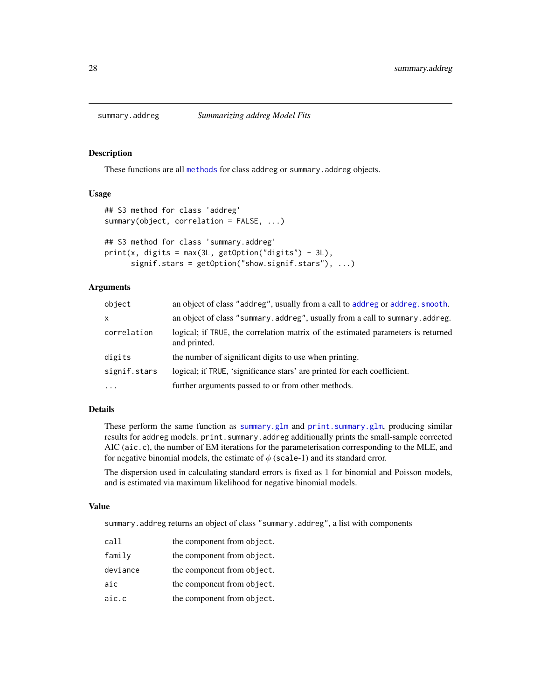<span id="page-27-1"></span><span id="page-27-0"></span>

#### Description

These functions are all [methods](#page-0-0) for class addreg or summary. addreg objects.

#### Usage

```
## S3 method for class 'addreg'
summary(object, correlation = FALSE, ...)
## S3 method for class 'summary.addreg'
print(x, digits = max(3L, getOption("digits") - 3L),
     signif.stars = getOption("show.signif.stars"), ...)
```
# Arguments

| object       | an object of class "addreg", usually from a call to addreg or addreg. smooth.                    |
|--------------|--------------------------------------------------------------------------------------------------|
| $\mathsf{x}$ | an object of class "summary.addreg", usually from a call to summary.addreg.                      |
| correlation  | logical; if TRUE, the correlation matrix of the estimated parameters is returned<br>and printed. |
| digits       | the number of significant digits to use when printing.                                           |
| signif.stars | logical; if TRUE, 'significance stars' are printed for each coefficient.                         |
| $\ddotsc$    | further arguments passed to or from other methods.                                               |

# Details

These perform the same function as [summary.glm](#page-0-0) and [print.summary.glm](#page-0-0), producing similar results for addreg models. print. summary. addreg additionally prints the small-sample corrected AIC (aic.c), the number of EM iterations for the parameterisation corresponding to the MLE, and for negative binomial models, the estimate of  $\phi$  (scale-1) and its standard error.

The dispersion used in calculating standard errors is fixed as 1 for binomial and Poisson models, and is estimated via maximum likelihood for negative binomial models.

#### Value

summary.addreg returns an object of class "summary.addreg", a list with components

| call     | the component from object. |
|----------|----------------------------|
| family   | the component from object. |
| deviance | the component from object. |
| aic      | the component from object. |
| aic.c    | the component from object. |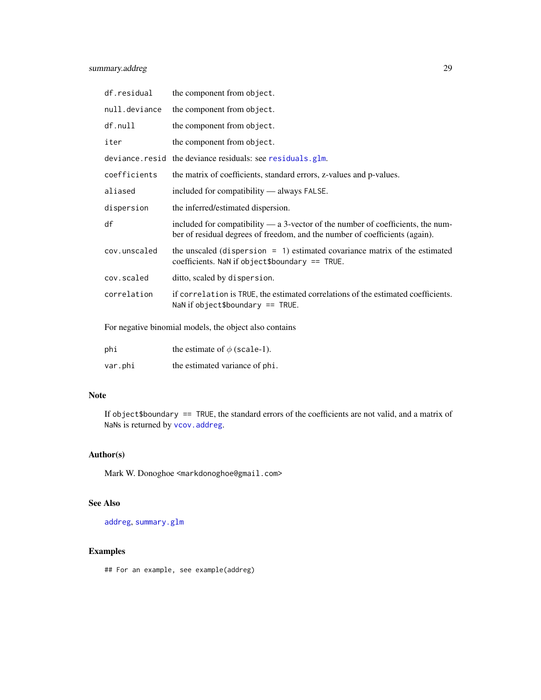<span id="page-28-0"></span>

| df.residual   | the component from object.                                                                                                                                                                                                                                                                                                                                                   |
|---------------|------------------------------------------------------------------------------------------------------------------------------------------------------------------------------------------------------------------------------------------------------------------------------------------------------------------------------------------------------------------------------|
| null.deviance | the component from object.                                                                                                                                                                                                                                                                                                                                                   |
| df.null       | the component from object.                                                                                                                                                                                                                                                                                                                                                   |
| iter          | the component from object.                                                                                                                                                                                                                                                                                                                                                   |
|               | deviance resid the deviance residuals: see residuals.glm.                                                                                                                                                                                                                                                                                                                    |
| coefficients  | the matrix of coefficients, standard errors, z-values and p-values.                                                                                                                                                                                                                                                                                                          |
| aliased       | included for compatibility — always FALSE.                                                                                                                                                                                                                                                                                                                                   |
| dispersion    | the inferred/estimated dispersion.                                                                                                                                                                                                                                                                                                                                           |
| df            | included for compatibility $-$ a 3-vector of the number of coefficients, the num-<br>ber of residual degrees of freedom, and the number of coefficients (again).                                                                                                                                                                                                             |
| cov.unscaled  | the unscaled (dispersion $= 1$ ) estimated covariance matrix of the estimated<br>coefficients. NaN if object \$boundary == TRUE.                                                                                                                                                                                                                                             |
| cov.scaled    | ditto, scaled by dispersion.                                                                                                                                                                                                                                                                                                                                                 |
| correlation   | if correlation is TRUE, the estimated correlations of the estimated coefficients.<br>NaN if object\$boundary $==$ TRUE.                                                                                                                                                                                                                                                      |
|               | $\mathcal{L} = \{ \mathbf{r}^T \mathbf{r}^T \mathbf{r}^T \mathbf{r}^T \mathbf{r}^T \mathbf{r}^T \mathbf{r}^T \mathbf{r}^T \mathbf{r}^T \mathbf{r}^T \mathbf{r}^T \mathbf{r}^T \mathbf{r}^T \mathbf{r}^T \mathbf{r}^T \mathbf{r}^T \mathbf{r}^T \mathbf{r}^T \mathbf{r}^T \mathbf{r}^T \mathbf{r}^T \mathbf{r}^T \mathbf{r}^T \mathbf{r}^T \mathbf{r}^T \mathbf{r}^T \mathbf$ |

For negative binomial models, the object also contains

| phi     | the estimate of $\phi$ (scale-1). |
|---------|-----------------------------------|
| var.phi | the estimated variance of phi.    |

# Note

If object\$boundary == TRUE, the standard errors of the coefficients are not valid, and a matrix of NaNs is returned by [vcov.addreg](#page-29-1).

# Author(s)

Mark W. Donoghoe <markdonoghoe@gmail.com>

# See Also

[addreg](#page-2-1), [summary.glm](#page-0-0)

# Examples

## For an example, see example(addreg)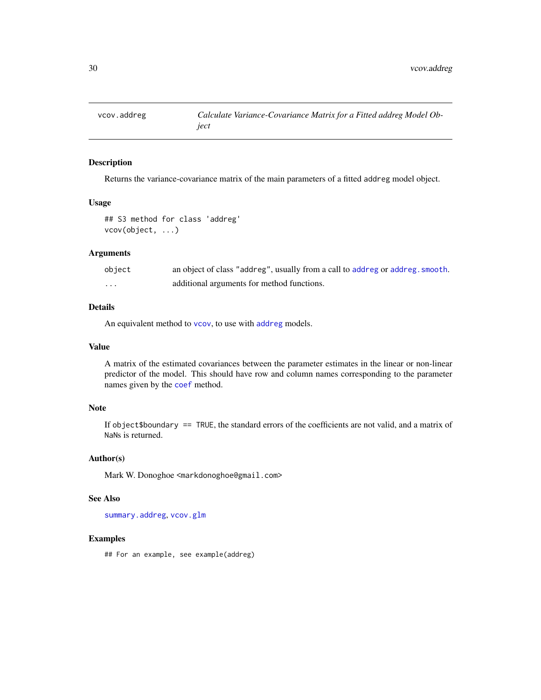<span id="page-29-1"></span><span id="page-29-0"></span>

#### Description

Returns the variance-covariance matrix of the main parameters of a fitted addreg model object.

#### Usage

## S3 method for class 'addreg' vcov(object, ...)

# Arguments

| object | an object of class "addreg", usually from a call to addreg or addreg. smooth. |
|--------|-------------------------------------------------------------------------------|
| .      | additional arguments for method functions.                                    |

# Details

An equivalent method to [vcov](#page-0-0), to use with [addreg](#page-2-1) models.

#### Value

A matrix of the estimated covariances between the parameter estimates in the linear or non-linear predictor of the model. This should have row and column names corresponding to the parameter names given by the [coef](#page-0-0) method.

# Note

If object\$boundary == TRUE, the standard errors of the coefficients are not valid, and a matrix of NaNs is returned.

# Author(s)

Mark W. Donoghoe <markdonoghoe@gmail.com>

#### See Also

[summary.addreg](#page-27-1), [vcov.glm](#page-0-0)

# Examples

## For an example, see example(addreg)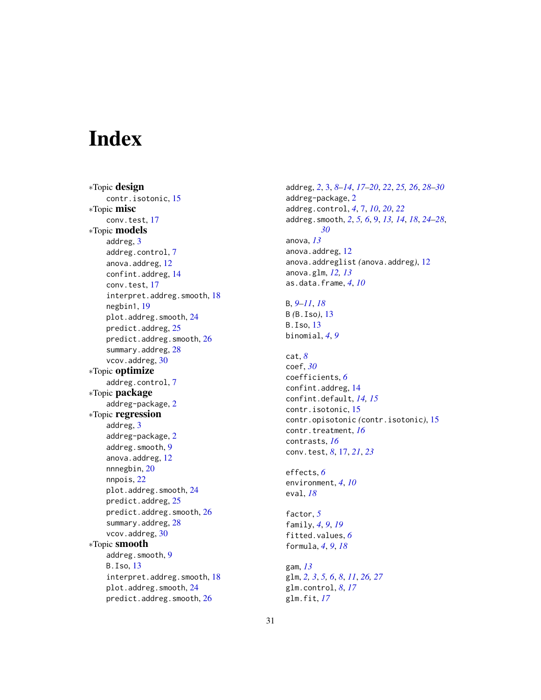# <span id="page-30-0"></span>**Index**

∗Topic design contr.isotonic, [15](#page-14-0) ∗Topic misc conv.test, [17](#page-16-0) ∗Topic models addreg, [3](#page-2-0) addreg.control, [7](#page-6-0) anova.addreg, [12](#page-11-0) confint.addreg, [14](#page-13-0) conv.test, [17](#page-16-0) interpret.addreg.smooth, [18](#page-17-0) negbin1, [19](#page-18-0) plot.addreg.smooth, [24](#page-23-0) predict.addreg, [25](#page-24-0) predict.addreg.smooth, [26](#page-25-0) summary.addreg, [28](#page-27-0) vcov.addreg, [30](#page-29-0) ∗Topic optimize addreg.control, [7](#page-6-0) ∗Topic package addreg-package, [2](#page-1-0) ∗Topic regression addreg, [3](#page-2-0) addreg-package, [2](#page-1-0) addreg.smooth, [9](#page-8-0) anova.addreg, [12](#page-11-0) nnnegbin, [20](#page-19-0) nnpois, [22](#page-21-0) plot.addreg.smooth, [24](#page-23-0) predict.addreg, [25](#page-24-0) predict.addreg.smooth, [26](#page-25-0) summary.addreg, [28](#page-27-0) vcov.addreg, [30](#page-29-0) ∗Topic smooth addreg.smooth, [9](#page-8-0) B.Iso, [13](#page-12-0) interpret.addreg.smooth, [18](#page-17-0) plot.addreg.smooth, [24](#page-23-0) predict.addreg.smooth, [26](#page-25-0)

addreg, *[2](#page-1-0)*, [3,](#page-2-0) *[8](#page-7-0)[–14](#page-13-0)*, *[17](#page-16-0)[–20](#page-19-0)*, *[22](#page-21-0)*, *[25,](#page-24-0) [26](#page-25-0)*, *[28](#page-27-0)[–30](#page-29-0)* addreg-package, [2](#page-1-0) addreg.control, *[4](#page-3-0)*, [7,](#page-6-0) *[10](#page-9-0)*, *[20](#page-19-0)*, *[22](#page-21-0)* addreg.smooth, *[2](#page-1-0)*, *[5,](#page-4-0) [6](#page-5-0)*, [9,](#page-8-0) *[13,](#page-12-0) [14](#page-13-0)*, *[18](#page-17-0)*, *[24](#page-23-0)[–28](#page-27-0)*, *[30](#page-29-0)* anova, *[13](#page-12-0)* anova.addreg, [12](#page-11-0) anova.addreglist *(*anova.addreg*)*, [12](#page-11-0) anova.glm, *[12,](#page-11-0) [13](#page-12-0)* as.data.frame, *[4](#page-3-0)*, *[10](#page-9-0)* B, *[9–](#page-8-0)[11](#page-10-0)*, *[18](#page-17-0)* B *(*B.Iso*)*, [13](#page-12-0) B.Iso, [13](#page-12-0) binomial, *[4](#page-3-0)*, *[9](#page-8-0)*

cat, *[8](#page-7-0)* coef, *[30](#page-29-0)* coefficients, *[6](#page-5-0)* confint.addreg, [14](#page-13-0) confint.default, *[14,](#page-13-0) [15](#page-14-0)* contr.isotonic, [15](#page-14-0) contr.opisotonic *(*contr.isotonic*)*, [15](#page-14-0) contr.treatment, *[16](#page-15-0)* contrasts, *[16](#page-15-0)* conv.test, *[8](#page-7-0)*, [17,](#page-16-0) *[21](#page-20-0)*, *[23](#page-22-0)*

effects, *[6](#page-5-0)* environment, *[4](#page-3-0)*, *[10](#page-9-0)* eval, *[18](#page-17-0)*

factor, *[5](#page-4-0)* family, *[4](#page-3-0)*, *[9](#page-8-0)*, *[19](#page-18-0)* fitted.values, *[6](#page-5-0)* formula, *[4](#page-3-0)*, *[9](#page-8-0)*, *[18](#page-17-0)*

gam, *[13](#page-12-0)* glm, *[2,](#page-1-0) [3](#page-2-0)*, *[5,](#page-4-0) [6](#page-5-0)*, *[8](#page-7-0)*, *[11](#page-10-0)*, *[26,](#page-25-0) [27](#page-26-0)* glm.control, *[8](#page-7-0)*, *[17](#page-16-0)* glm.fit, *[17](#page-16-0)*